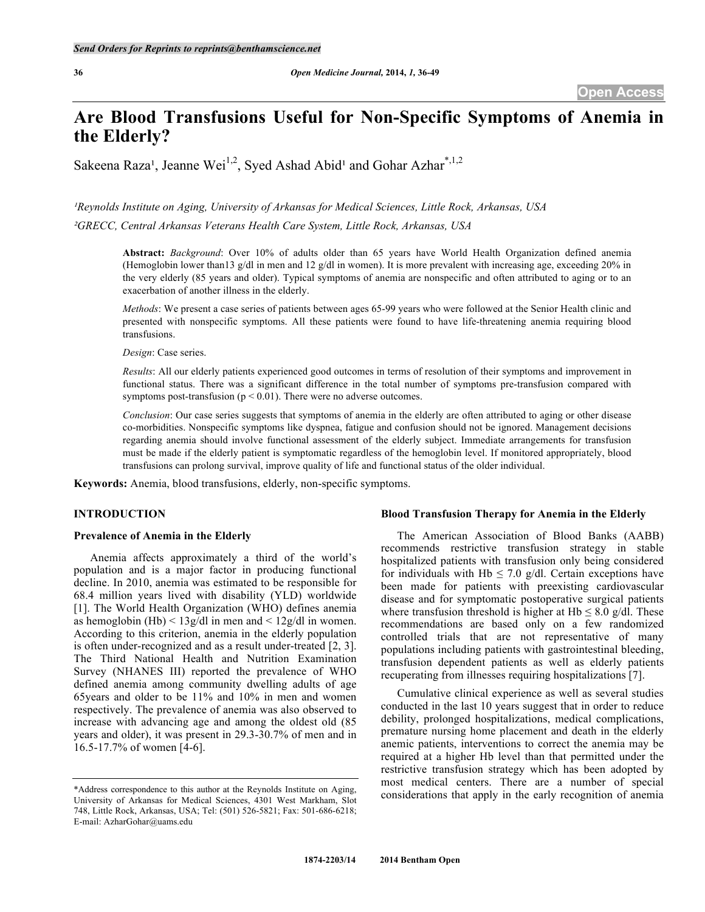# **Are Blood Transfusions Useful for Non-Specific Symptoms of Anemia in the Elderly?**

Sakeena Raza<sup>1</sup>, Jeanne Wei<sup>1,2</sup>, Syed Ashad Abid<sup>1</sup> and Gohar Azhar<sup>\*,1,2</sup>

*¹Reynolds Institute on Aging, University of Arkansas for Medical Sciences, Little Rock, Arkansas, USA*

*²GRECC, Central Arkansas Veterans Health Care System, Little Rock, Arkansas, USA*

**Abstract:** *Background*: Over 10% of adults older than 65 years have World Health Organization defined anemia (Hemoglobin lower than13 g/dl in men and 12 g/dl in women). It is more prevalent with increasing age, exceeding 20% in the very elderly (85 years and older). Typical symptoms of anemia are nonspecific and often attributed to aging or to an exacerbation of another illness in the elderly.

*Methods*: We present a case series of patients between ages 65-99 years who were followed at the Senior Health clinic and presented with nonspecific symptoms. All these patients were found to have life-threatening anemia requiring blood transfusions.

*Design*: Case series.

*Results*: All our elderly patients experienced good outcomes in terms of resolution of their symptoms and improvement in functional status. There was a significant difference in the total number of symptoms pre-transfusion compared with symptoms post-transfusion ( $p < 0.01$ ). There were no adverse outcomes.

*Conclusion*: Our case series suggests that symptoms of anemia in the elderly are often attributed to aging or other disease co-morbidities. Nonspecific symptoms like dyspnea, fatigue and confusion should not be ignored. Management decisions regarding anemia should involve functional assessment of the elderly subject. Immediate arrangements for transfusion must be made if the elderly patient is symptomatic regardless of the hemoglobin level. If monitored appropriately, blood transfusions can prolong survival, improve quality of life and functional status of the older individual.

**Keywords:** Anemia, blood transfusions, elderly, non-specific symptoms.

# **INTRODUCTION**

## **Prevalence of Anemia in the Elderly**

Anemia affects approximately a third of the world's population and is a major factor in producing functional decline. In 2010, anemia was estimated to be responsible for 68.4 million years lived with disability (YLD) worldwide [1]. The World Health Organization (WHO) defines anemia as hemoglobin (Hb)  $\leq 13g/dl$  in men and  $\leq 12g/dl$  in women. According to this criterion, anemia in the elderly population is often under-recognized and as a result under-treated [2, 3]. The Third National Health and Nutrition Examination Survey (NHANES III) reported the prevalence of WHO defined anemia among community dwelling adults of age 65years and older to be 11% and 10% in men and women respectively. The prevalence of anemia was also observed to increase with advancing age and among the oldest old (85 years and older), it was present in 29.3-30.7% of men and in 16.5-17.7% of women [4-6].

### **Blood Transfusion Therapy for Anemia in the Elderly**

The American Association of Blood Banks (AABB) recommends restrictive transfusion strategy in stable hospitalized patients with transfusion only being considered for individuals with Hb  $\leq$  7.0 g/dl. Certain exceptions have been made for patients with preexisting cardiovascular disease and for symptomatic postoperative surgical patients where transfusion threshold is higher at  $Hb \leq 8.0$  g/dl. These recommendations are based only on a few randomized controlled trials that are not representative of many populations including patients with gastrointestinal bleeding, transfusion dependent patients as well as elderly patients recuperating from illnesses requiring hospitalizations [7].

Cumulative clinical experience as well as several studies conducted in the last 10 years suggest that in order to reduce debility, prolonged hospitalizations, medical complications, premature nursing home placement and death in the elderly anemic patients, interventions to correct the anemia may be required at a higher Hb level than that permitted under the restrictive transfusion strategy which has been adopted by most medical centers. There are a number of special considerations that apply in the early recognition of anemia

<sup>\*</sup>Address correspondence to this author at the Reynolds Institute on Aging, University of Arkansas for Medical Sciences, 4301 West Markham, Slot 748, Little Rock, Arkansas, USA; Tel: (501) 526-5821; Fax: 501-686-6218; E-mail: AzharGohar@uams.edu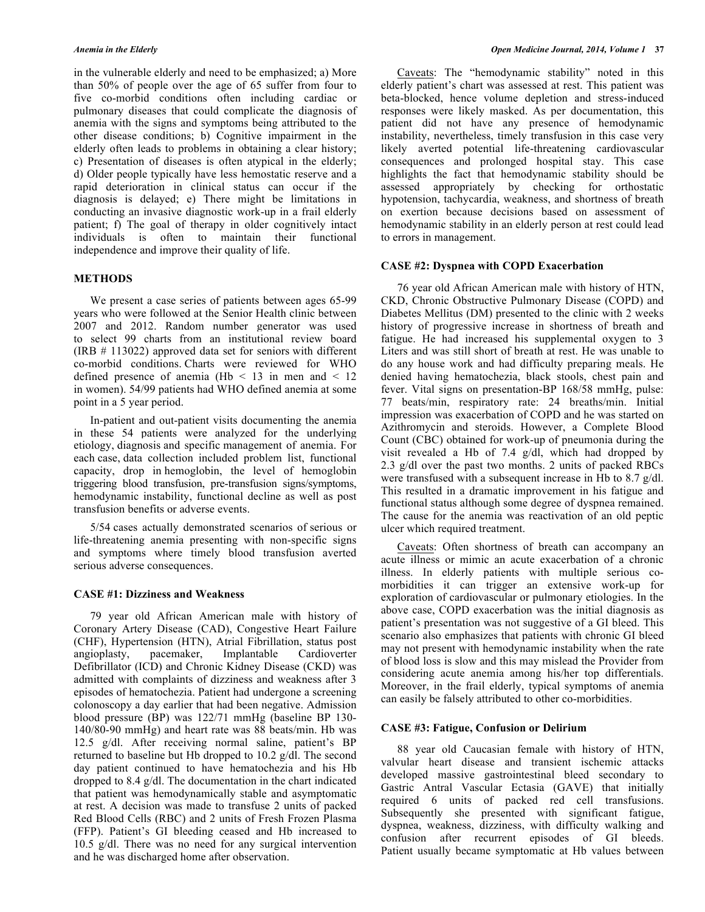in the vulnerable elderly and need to be emphasized; a) More than 50% of people over the age of 65 suffer from four to five co-morbid conditions often including cardiac or pulmonary diseases that could complicate the diagnosis of anemia with the signs and symptoms being attributed to the other disease conditions; b) Cognitive impairment in the elderly often leads to problems in obtaining a clear history; c) Presentation of diseases is often atypical in the elderly; d) Older people typically have less hemostatic reserve and a rapid deterioration in clinical status can occur if the diagnosis is delayed; e) There might be limitations in conducting an invasive diagnostic work-up in a frail elderly patient; f) The goal of therapy in older cognitively intact individuals is often to maintain their functional independence and improve their quality of life.

# **METHODS**

We present a case series of patients between ages 65-99 years who were followed at the Senior Health clinic between 2007 and 2012. Random number generator was used to select 99 charts from an institutional review board (IRB # 113022) approved data set for seniors with different co-morbid conditions. Charts were reviewed for WHO defined presence of anemia (Hb  $\lt$  13 in men and  $\lt$  12 in women). 54/99 patients had WHO defined anemia at some point in a 5 year period.

In-patient and out-patient visits documenting the anemia in these 54 patients were analyzed for the underlying etiology, diagnosis and specific management of anemia. For each case, data collection included problem list, functional capacity, drop in hemoglobin, the level of hemoglobin triggering blood transfusion, pre-transfusion signs/symptoms, hemodynamic instability, functional decline as well as post transfusion benefits or adverse events.

5/54 cases actually demonstrated scenarios of serious or life-threatening anemia presenting with non-specific signs and symptoms where timely blood transfusion averted serious adverse consequences.

#### **CASE #1: Dizziness and Weakness**

79 year old African American male with history of Coronary Artery Disease (CAD), Congestive Heart Failure (CHF), Hypertension (HTN), Atrial Fibrillation, status post angioplasty, pacemaker, Implantable Cardioverter Defibrillator (ICD) and Chronic Kidney Disease (CKD) was admitted with complaints of dizziness and weakness after 3 episodes of hematochezia. Patient had undergone a screening colonoscopy a day earlier that had been negative. Admission blood pressure (BP) was 122/71 mmHg (baseline BP 130- 140/80-90 mmHg) and heart rate was 88 beats/min. Hb was 12.5 g/dl. After receiving normal saline, patient's BP returned to baseline but Hb dropped to 10.2 g/dl. The second day patient continued to have hematochezia and his Hb dropped to 8.4 g/dl. The documentation in the chart indicated that patient was hemodynamically stable and asymptomatic at rest. A decision was made to transfuse 2 units of packed Red Blood Cells (RBC) and 2 units of Fresh Frozen Plasma (FFP). Patient's GI bleeding ceased and Hb increased to 10.5 g/dl. There was no need for any surgical intervention and he was discharged home after observation.

Caveats: The "hemodynamic stability" noted in this elderly patient's chart was assessed at rest. This patient was beta-blocked, hence volume depletion and stress-induced responses were likely masked. As per documentation, this patient did not have any presence of hemodynamic instability, nevertheless, timely transfusion in this case very likely averted potential life-threatening cardiovascular consequences and prolonged hospital stay. This case highlights the fact that hemodynamic stability should be assessed appropriately by checking for orthostatic hypotension, tachycardia, weakness, and shortness of breath on exertion because decisions based on assessment of hemodynamic stability in an elderly person at rest could lead to errors in management.

#### **CASE #2: Dyspnea with COPD Exacerbation**

76 year old African American male with history of HTN, CKD, Chronic Obstructive Pulmonary Disease (COPD) and Diabetes Mellitus (DM) presented to the clinic with 2 weeks history of progressive increase in shortness of breath and fatigue. He had increased his supplemental oxygen to 3 Liters and was still short of breath at rest. He was unable to do any house work and had difficulty preparing meals. He denied having hematochezia, black stools, chest pain and fever. Vital signs on presentation-BP 168/58 mmHg, pulse: 77 beats/min, respiratory rate: 24 breaths/min. Initial impression was exacerbation of COPD and he was started on Azithromycin and steroids. However, a Complete Blood Count (CBC) obtained for work-up of pneumonia during the visit revealed a Hb of 7.4 g/dl, which had dropped by 2.3 g/dl over the past two months. 2 units of packed RBCs were transfused with a subsequent increase in Hb to 8.7 g/dl. This resulted in a dramatic improvement in his fatigue and functional status although some degree of dyspnea remained. The cause for the anemia was reactivation of an old peptic ulcer which required treatment.

Caveats: Often shortness of breath can accompany an acute illness or mimic an acute exacerbation of a chronic illness. In elderly patients with multiple serious comorbidities it can trigger an extensive work-up for exploration of cardiovascular or pulmonary etiologies. In the above case, COPD exacerbation was the initial diagnosis as patient's presentation was not suggestive of a GI bleed. This scenario also emphasizes that patients with chronic GI bleed may not present with hemodynamic instability when the rate of blood loss is slow and this may mislead the Provider from considering acute anemia among his/her top differentials. Moreover, in the frail elderly, typical symptoms of anemia can easily be falsely attributed to other co-morbidities.

#### **CASE #3: Fatigue, Confusion or Delirium**

88 year old Caucasian female with history of HTN, valvular heart disease and transient ischemic attacks developed massive gastrointestinal bleed secondary to Gastric Antral Vascular Ectasia (GAVE) that initially required 6 units of packed red cell transfusions. Subsequently she presented with significant fatigue, dyspnea, weakness, dizziness, with difficulty walking and confusion after recurrent episodes of GI bleeds. Patient usually became symptomatic at Hb values between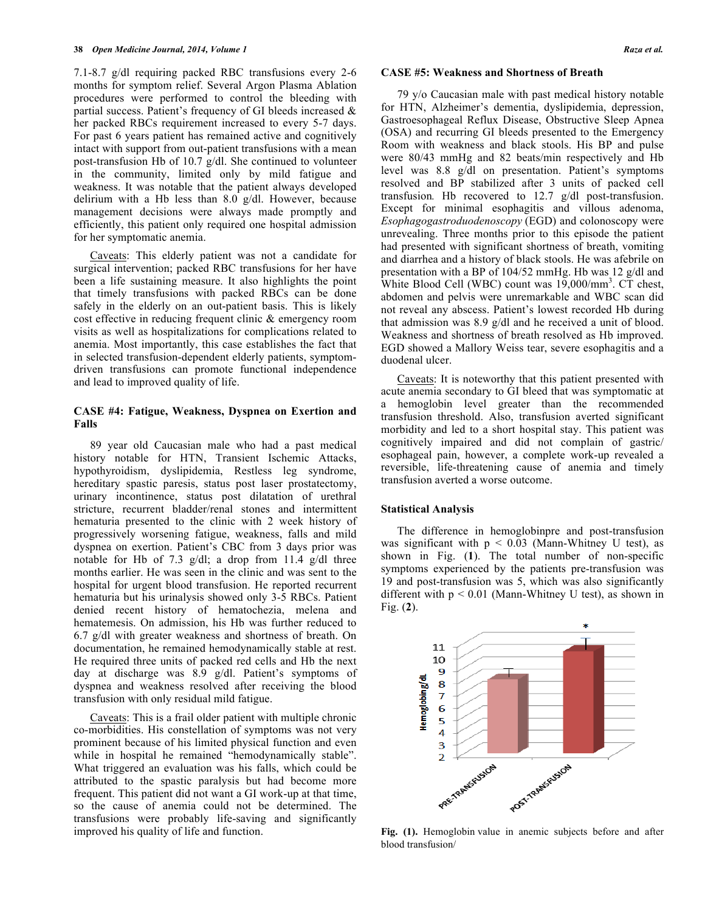7.1-8.7 g/dl requiring packed RBC transfusions every 2-6 months for symptom relief. Several Argon Plasma Ablation procedures were performed to control the bleeding with partial success. Patient's frequency of GI bleeds increased & her packed RBCs requirement increased to every 5-7 days. For past 6 years patient has remained active and cognitively intact with support from out-patient transfusions with a mean post-transfusion Hb of 10.7 g/dl. She continued to volunteer in the community, limited only by mild fatigue and weakness. It was notable that the patient always developed delirium with a Hb less than 8.0 g/dl. However, because management decisions were always made promptly and efficiently, this patient only required one hospital admission for her symptomatic anemia.

Caveats: This elderly patient was not a candidate for surgical intervention; packed RBC transfusions for her have been a life sustaining measure. It also highlights the point that timely transfusions with packed RBCs can be done safely in the elderly on an out-patient basis. This is likely cost effective in reducing frequent clinic & emergency room visits as well as hospitalizations for complications related to anemia. Most importantly, this case establishes the fact that in selected transfusion-dependent elderly patients, symptomdriven transfusions can promote functional independence and lead to improved quality of life.

## **CASE #4: Fatigue, Weakness, Dyspnea on Exertion and Falls**

89 year old Caucasian male who had a past medical history notable for HTN, Transient Ischemic Attacks, hypothyroidism, dyslipidemia, Restless leg syndrome, hereditary spastic paresis, status post laser prostatectomy, urinary incontinence, status post dilatation of urethral stricture, recurrent bladder/renal stones and intermittent hematuria presented to the clinic with 2 week history of progressively worsening fatigue, weakness, falls and mild dyspnea on exertion. Patient's CBC from 3 days prior was notable for Hb of 7.3 g/dl; a drop from 11.4 g/dl three months earlier. He was seen in the clinic and was sent to the hospital for urgent blood transfusion. He reported recurrent hematuria but his urinalysis showed only 3-5 RBCs. Patient denied recent history of hematochezia, melena and hematemesis. On admission, his Hb was further reduced to 6.7 g/dl with greater weakness and shortness of breath. On documentation, he remained hemodynamically stable at rest. He required three units of packed red cells and Hb the next day at discharge was 8.9 g/dl. Patient's symptoms of dyspnea and weakness resolved after receiving the blood transfusion with only residual mild fatigue.

Caveats: This is a frail older patient with multiple chronic co-morbidities. His constellation of symptoms was not very prominent because of his limited physical function and even while in hospital he remained "hemodynamically stable". What triggered an evaluation was his falls, which could be attributed to the spastic paralysis but had become more frequent. This patient did not want a GI work-up at that time, so the cause of anemia could not be determined. The transfusions were probably life-saving and significantly improved his quality of life and function.

### **CASE #5: Weakness and Shortness of Breath**

79 y/o Caucasian male with past medical history notable for HTN, Alzheimer's dementia, dyslipidemia, depression, Gastroesophageal Reflux Disease, Obstructive Sleep Apnea (OSA) and recurring GI bleeds presented to the Emergency Room with weakness and black stools. His BP and pulse were 80/43 mmHg and 82 beats/min respectively and Hb level was 8.8 g/dl on presentation. Patient's symptoms resolved and BP stabilized after 3 units of packed cell transfusion*.* Hb recovered to 12.7 g/dl post-transfusion. Except for minimal esophagitis and villous adenoma, *Esophagogastroduodenoscopy* (EGD) and colonoscopy were unrevealing. Three months prior to this episode the patient had presented with significant shortness of breath, vomiting and diarrhea and a history of black stools. He was afebrile on presentation with a BP of 104/52 mmHg. Hb was 12 g/dl and White Blood Cell (WBC) count was  $19,000/\text{mm}^3$ . CT chest, abdomen and pelvis were unremarkable and WBC scan did not reveal any abscess. Patient's lowest recorded Hb during that admission was 8.9 g/dl and he received a unit of blood. Weakness and shortness of breath resolved as Hb improved. EGD showed a Mallory Weiss tear, severe esophagitis and a duodenal ulcer.

Caveats: It is noteworthy that this patient presented with acute anemia secondary to GI bleed that was symptomatic at a hemoglobin level greater than the recommended transfusion threshold. Also, transfusion averted significant morbidity and led to a short hospital stay. This patient was cognitively impaired and did not complain of gastric/ esophageal pain, however, a complete work-up revealed a reversible, life-threatening cause of anemia and timely transfusion averted a worse outcome.

#### **Statistical Analysis**

The difference in hemoglobinpre and post-transfusion was significant with  $p < 0.03$  (Mann-Whitney U test), as shown in Fig. (**1**). The total number of non-specific symptoms experienced by the patients pre-transfusion was 19 and post-transfusion was 5, which was also significantly different with  $p < 0.01$  (Mann-Whitney U test), as shown in Fig. (**2**).



**Fig. (1).** Hemoglobin value in anemic subjects before and after blood transfusion/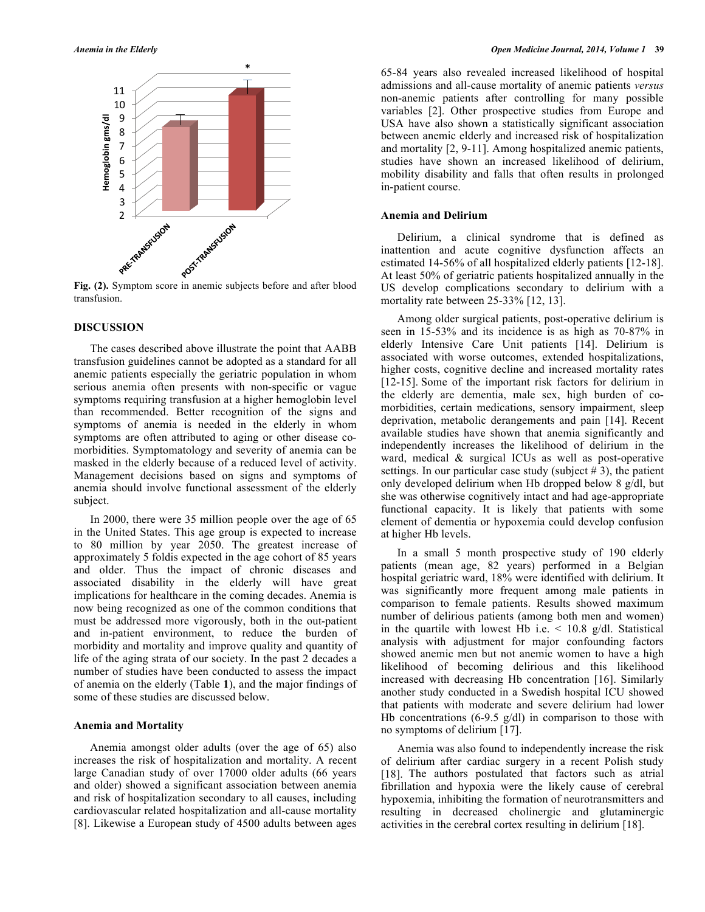

transfusion.

#### **DISCUSSION**

The cases described above illustrate the point that AABB transfusion guidelines cannot be adopted as a standard for all anemic patients especially the geriatric population in whom serious anemia often presents with non-specific or vague symptoms requiring transfusion at a higher hemoglobin level than recommended. Better recognition of the signs and symptoms of anemia is needed in the elderly in whom symptoms are often attributed to aging or other disease comorbidities. Symptomatology and severity of anemia can be masked in the elderly because of a reduced level of activity. Management decisions based on signs and symptoms of anemia should involve functional assessment of the elderly subject.

In 2000, there were 35 million people over the age of 65 in the United States. This age group is expected to increase to 80 million by year 2050. The greatest increase of approximately 5 foldis expected in the age cohort of 85 years and older. Thus the impact of chronic diseases and associated disability in the elderly will have great implications for healthcare in the coming decades. Anemia is now being recognized as one of the common conditions that must be addressed more vigorously, both in the out-patient and in-patient environment, to reduce the burden of morbidity and mortality and improve quality and quantity of life of the aging strata of our society. In the past 2 decades a number of studies have been conducted to assess the impact of anemia on the elderly (Table **1**), and the major findings of some of these studies are discussed below.

#### **Anemia and Mortality**

Anemia amongst older adults (over the age of 65) also increases the risk of hospitalization and mortality. A recent large Canadian study of over 17000 older adults (66 years and older) showed a significant association between anemia and risk of hospitalization secondary to all causes, including cardiovascular related hospitalization and all-cause mortality [8]. Likewise a European study of 4500 adults between ages

65-84 years also revealed increased likelihood of hospital admissions and all-cause mortality of anemic patients *versus* non-anemic patients after controlling for many possible variables [2]. Other prospective studies from Europe and USA have also shown a statistically significant association between anemic elderly and increased risk of hospitalization and mortality [2, 9-11]. Among hospitalized anemic patients, studies have shown an increased likelihood of delirium, mobility disability and falls that often results in prolonged in-patient course.

### **Anemia and Delirium**

Delirium, a clinical syndrome that is defined as inattention and acute cognitive dysfunction affects an estimated 14-56% of all hospitalized elderly patients [12-18]. At least 50% of geriatric patients hospitalized annually in the US develop complications secondary to delirium with a mortality rate between 25-33% [12, 13].

Among older surgical patients, post-operative delirium is seen in 15-53% and its incidence is as high as 70-87% in elderly Intensive Care Unit patients [14]. Delirium is associated with worse outcomes, extended hospitalizations, higher costs, cognitive decline and increased mortality rates [12-15]. Some of the important risk factors for delirium in the elderly are dementia, male sex, high burden of comorbidities, certain medications, sensory impairment, sleep deprivation, metabolic derangements and pain [14]. Recent available studies have shown that anemia significantly and independently increases the likelihood of delirium in the ward, medical & surgical ICUs as well as post-operative settings. In our particular case study (subject  $# 3$ ), the patient only developed delirium when Hb dropped below 8 g/dl, but she was otherwise cognitively intact and had age-appropriate functional capacity. It is likely that patients with some element of dementia or hypoxemia could develop confusion at higher Hb levels.

In a small 5 month prospective study of 190 elderly patients (mean age, 82 years) performed in a Belgian hospital geriatric ward, 18% were identified with delirium. It was significantly more frequent among male patients in comparison to female patients. Results showed maximum number of delirious patients (among both men and women) in the quartile with lowest Hb i.e.  $\leq$  10.8 g/dl. Statistical analysis with adjustment for major confounding factors showed anemic men but not anemic women to have a high likelihood of becoming delirious and this likelihood increased with decreasing Hb concentration [16]. Similarly another study conducted in a Swedish hospital ICU showed that patients with moderate and severe delirium had lower Hb concentrations  $(6-9.5 \text{ g/dl})$  in comparison to those with no symptoms of delirium [17].

Anemia was also found to independently increase the risk of delirium after cardiac surgery in a recent Polish study [18]. The authors postulated that factors such as atrial fibrillation and hypoxia were the likely cause of cerebral hypoxemia, inhibiting the formation of neurotransmitters and resulting in decreased cholinergic and glutaminergic activities in the cerebral cortex resulting in delirium [18].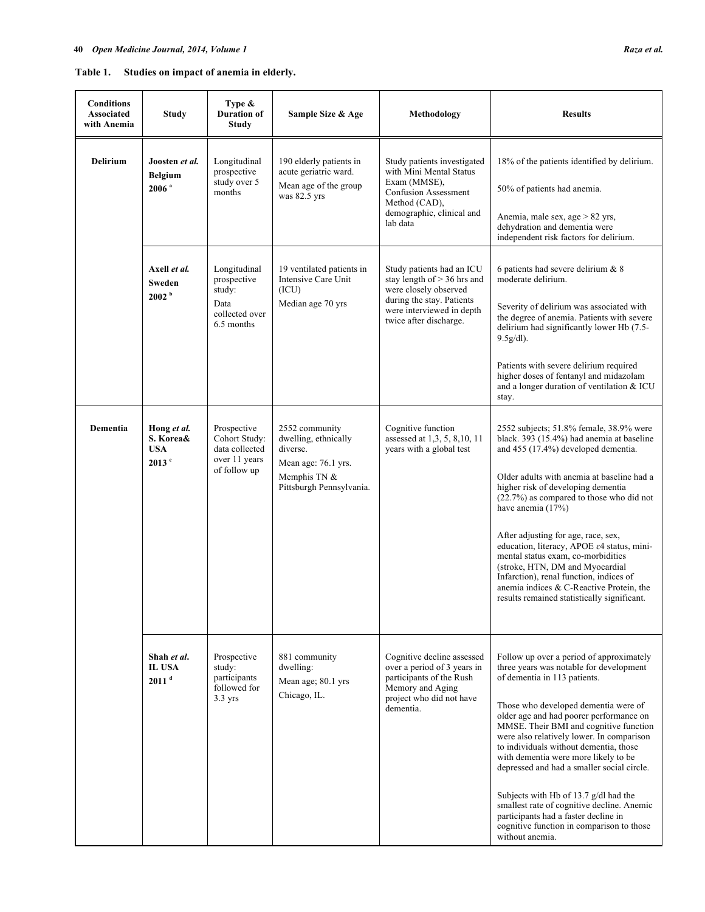| Studies on impact of anemia in elderly.<br>Table 1. |  |
|-----------------------------------------------------|--|
|-----------------------------------------------------|--|

| <b>Conditions</b><br><b>Associated</b><br>with Anemia | Study                                                      | Type $\&$<br><b>Duration of</b><br><b>Study</b>                                 | Sample Size & Age                                                                                                     | Methodology                                                                                                                                                             | <b>Results</b>                                                                                                                                                                                                                                                                                                                                                                                                                                                                                                                                                                                                               |
|-------------------------------------------------------|------------------------------------------------------------|---------------------------------------------------------------------------------|-----------------------------------------------------------------------------------------------------------------------|-------------------------------------------------------------------------------------------------------------------------------------------------------------------------|------------------------------------------------------------------------------------------------------------------------------------------------------------------------------------------------------------------------------------------------------------------------------------------------------------------------------------------------------------------------------------------------------------------------------------------------------------------------------------------------------------------------------------------------------------------------------------------------------------------------------|
| <b>Delirium</b>                                       | Joosten et al.<br><b>Belgium</b><br>$2006$ <sup>a</sup>    | Longitudinal<br>prospective<br>study over 5<br>months                           | 190 elderly patients in<br>acute geriatric ward.<br>Mean age of the group<br>was 82.5 yrs                             | Study patients investigated<br>with Mini Mental Status<br>Exam (MMSE),<br><b>Confusion Assessment</b><br>Method (CAD),<br>demographic, clinical and<br>lab data         | 18% of the patients identified by delirium.<br>50% of patients had anemia.<br>Anemia, male sex, age > 82 yrs,<br>dehydration and dementia were<br>independent risk factors for delirium.                                                                                                                                                                                                                                                                                                                                                                                                                                     |
|                                                       | Axell <i>et al.</i><br>Sweden<br>2002 <sup>b</sup>         | Longitudinal<br>prospective<br>study:<br>Data<br>collected over<br>6.5 months   | 19 ventilated patients in<br>Intensive Care Unit<br>(ICU)<br>Median age 70 yrs                                        | Study patients had an ICU<br>stay length of $> 36$ hrs and<br>were closely observed<br>during the stay. Patients<br>were interviewed in depth<br>twice after discharge. | 6 patients had severe delirium & 8<br>moderate delirium.<br>Severity of delirium was associated with<br>the degree of anemia. Patients with severe<br>delirium had significantly lower Hb (7.5-<br>9.5g/dl).<br>Patients with severe delirium required<br>higher doses of fentanyl and midazolam<br>and a longer duration of ventilation & ICU<br>stay.                                                                                                                                                                                                                                                                      |
| <b>Dementia</b>                                       | Hong et al.<br>S. Korea&<br><b>USA</b><br>$2013$ $\degree$ | Prospective<br>Cohort Study:<br>data collected<br>over 11 years<br>of follow up | 2552 community<br>dwelling, ethnically<br>diverse.<br>Mean age: 76.1 yrs.<br>Memphis TN &<br>Pittsburgh Pennsylvania. | Cognitive function<br>assessed at 1,3, 5, 8, 10, 11<br>years with a global test                                                                                         | 2552 subjects; 51.8% female, 38.9% were<br>black. 393 (15.4%) had anemia at baseline<br>and 455 (17.4%) developed dementia.<br>Older adults with anemia at baseline had a<br>higher risk of developing dementia<br>$(22.7%)$ as compared to those who did not<br>have anemia (17%)<br>After adjusting for age, race, sex,<br>education, literacy, APOE ε4 status, mini-<br>mental status exam, co-morbidities<br>(stroke, HTN, DM and Myocardial<br>Infarction), renal function, indices of<br>anemia indices & C-Reactive Protein, the<br>results remained statistically significant.                                       |
|                                                       | Shah et al.<br><b>IL USA</b><br>2011 <sup>d</sup>          | Prospective<br>study:<br>participants<br>followed for<br>$3.3$ yrs              | 881 community<br>dwelling:<br>Mean age; 80.1 yrs<br>Chicago, IL.                                                      | Cognitive decline assessed<br>over a period of 3 years in<br>participants of the Rush<br>Memory and Aging<br>project who did not have<br>dementia.                      | Follow up over a period of approximately<br>three years was notable for development<br>of dementia in 113 patients.<br>Those who developed dementia were of<br>older age and had poorer performance on<br>MMSE. Their BMI and cognitive function<br>were also relatively lower. In comparison<br>to individuals without dementia, those<br>with dementia were more likely to be<br>depressed and had a smaller social circle.<br>Subjects with Hb of 13.7 g/dl had the<br>smallest rate of cognitive decline. Anemic<br>participants had a faster decline in<br>cognitive function in comparison to those<br>without anemia. |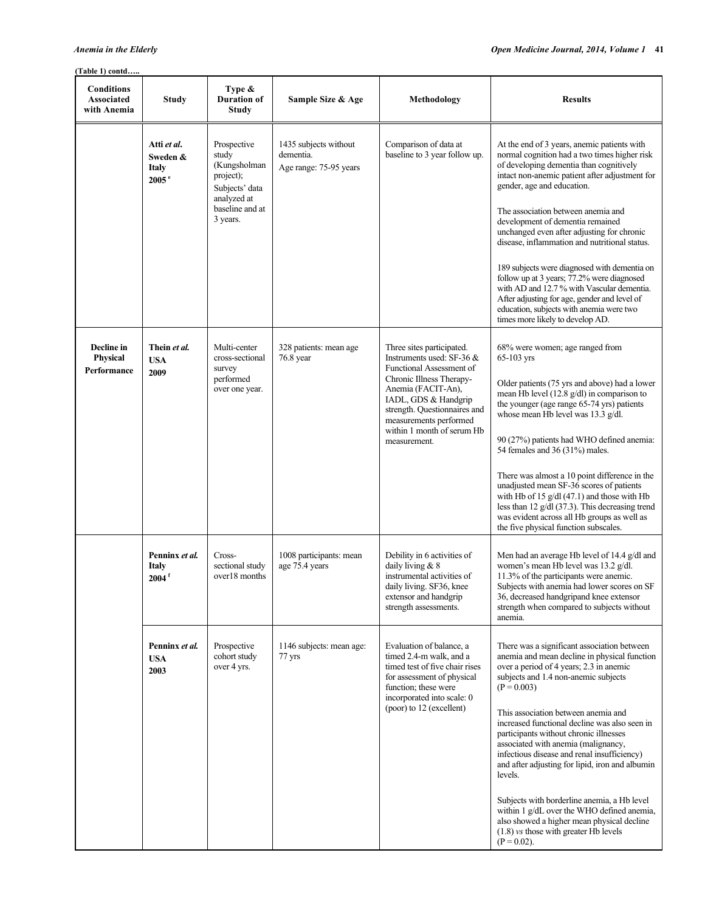# **(Table 1) contd…..**

| <b>Conditions</b><br><b>Associated</b><br>with Anemia | Study                                                        | Type &<br><b>Duration of</b><br>Study                                                                             | Sample Size & Age                                            | Methodology                                                                                                                                                                                                                                                          | <b>Results</b>                                                                                                                                                                                                                                                                                                                                                                                                                                                                                                                                                                                                                                                                                |
|-------------------------------------------------------|--------------------------------------------------------------|-------------------------------------------------------------------------------------------------------------------|--------------------------------------------------------------|----------------------------------------------------------------------------------------------------------------------------------------------------------------------------------------------------------------------------------------------------------------------|-----------------------------------------------------------------------------------------------------------------------------------------------------------------------------------------------------------------------------------------------------------------------------------------------------------------------------------------------------------------------------------------------------------------------------------------------------------------------------------------------------------------------------------------------------------------------------------------------------------------------------------------------------------------------------------------------|
|                                                       | Atti et al.<br>Sweden &<br><b>Italy</b><br>2005 <sup>e</sup> | Prospective<br>study<br>(Kungsholman<br>project);<br>Subjects' data<br>analyzed at<br>baseline and at<br>3 years. | 1435 subjects without<br>dementia.<br>Age range: 75-95 years | Comparison of data at<br>baseline to 3 year follow up.                                                                                                                                                                                                               | At the end of 3 years, anemic patients with<br>normal cognition had a two times higher risk<br>of developing dementia than cognitively<br>intact non-anemic patient after adjustment for<br>gender, age and education.<br>The association between anemia and<br>development of dementia remained<br>unchanged even after adjusting for chronic<br>disease, inflammation and nutritional status.<br>189 subjects were diagnosed with dementia on<br>follow up at 3 years; 77.2% were diagnosed<br>with AD and 12.7% with Vascular dementia.<br>After adjusting for age, gender and level of<br>education, subjects with anemia were two<br>times more likely to develop AD.                    |
| Decline in<br>Physical<br>Performance                 | Thein et al.<br><b>USA</b><br>2009                           | Multi-center<br>cross-sectional<br>survey<br>performed<br>over one year.                                          | 328 patients: mean age<br>$76.8$ year                        | Three sites participated.<br>Instruments used: SF-36 &<br>Functional Assessment of<br>Chronic Illness Therapy-<br>Anemia (FACIT-An),<br>IADL, GDS & Handgrip<br>strength. Questionnaires and<br>measurements performed<br>within 1 month of serum Hb<br>measurement. | 68% were women; age ranged from<br>65-103 yrs<br>Older patients (75 yrs and above) had a lower<br>mean Hb level $(12.8 \text{ g/dl})$ in comparison to<br>the younger (age range 65-74 yrs) patients<br>whose mean Hb level was 13.3 g/dl.<br>90 (27%) patients had WHO defined anemia:<br>54 females and 36 (31%) males.<br>There was almost a 10 point difference in the<br>unadjusted mean SF-36 scores of patients<br>with Hb of 15 $g/dl$ (47.1) and those with Hb<br>less than 12 g/dl (37.3). This decreasing trend<br>was evident across all Hb groups as well as<br>the five physical function subscales.                                                                            |
|                                                       | Penninx et al.<br><b>Italy</b><br>$2004$ <sup>f</sup>        | Cross-<br>sectional study<br>over18 months                                                                        | 1008 participants: mean<br>age 75.4 years                    | Debility in 6 activities of<br>daily living $& 8$<br>instrumental activities of<br>daily living. SF36, knee<br>extensor and handgrip<br>strength assessments.                                                                                                        | Men had an average Hb level of 14.4 g/dl and<br>women's mean Hb level was 13.2 g/dl.<br>11.3% of the participants were anemic.<br>Subjects with anemia had lower scores on SF<br>36, decreased handgripand knee extensor<br>strength when compared to subjects without<br>anemia.                                                                                                                                                                                                                                                                                                                                                                                                             |
|                                                       | Penninx et al.<br><b>USA</b><br>2003                         | Prospective<br>cohort study<br>over 4 yrs.                                                                        | 1146 subjects: mean age:<br>77 yrs                           | Evaluation of balance, a<br>timed 2.4-m walk, and a<br>timed test of five chair rises<br>for assessment of physical<br>function; these were<br>incorporated into scale: 0<br>(poor) to 12 (excellent)                                                                | There was a significant association between<br>anemia and mean decline in physical function<br>over a period of 4 years; 2.3 in anemic<br>subjects and 1.4 non-anemic subjects<br>$(P = 0.003)$<br>This association between anemia and<br>increased functional decline was also seen in<br>participants without chronic illnesses<br>associated with anemia (malignancy,<br>infectious disease and renal insufficiency)<br>and after adjusting for lipid, iron and albumin<br>levels.<br>Subjects with borderline anemia, a Hb level<br>within 1 g/dL over the WHO defined anemia,<br>also showed a higher mean physical decline<br>$(1.8)$ vs those with greater Hb levels<br>$(P = 0.02)$ . |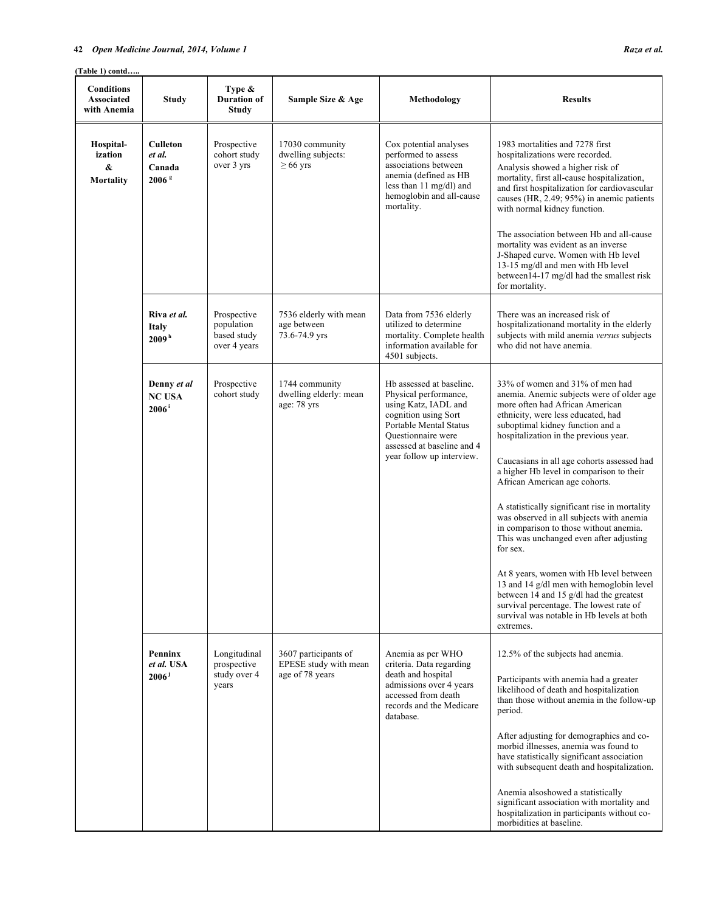# **42** *Open Medicine Journal, 2014, Volume 1 Raza et al.*

**(Table 1) contd…..**

| <b>Conditions</b><br>Associated<br>with Anemia | <b>Study</b>                                             | Type &<br><b>Duration of</b><br>Study                    | Sample Size & Age                                                | Methodology                                                                                                                                                                                                         | <b>Results</b>                                                                                                                                                                                                                                                                                                                                                                                                                                                                                                                                                                                                                                                                                                                                                                          |
|------------------------------------------------|----------------------------------------------------------|----------------------------------------------------------|------------------------------------------------------------------|---------------------------------------------------------------------------------------------------------------------------------------------------------------------------------------------------------------------|-----------------------------------------------------------------------------------------------------------------------------------------------------------------------------------------------------------------------------------------------------------------------------------------------------------------------------------------------------------------------------------------------------------------------------------------------------------------------------------------------------------------------------------------------------------------------------------------------------------------------------------------------------------------------------------------------------------------------------------------------------------------------------------------|
| Hospital-<br>ization<br>&<br>Mortality         | <b>Culleton</b><br>et al.<br>Canada<br>2006 <sup>g</sup> | Prospective<br>cohort study<br>over 3 yrs                | 17030 community<br>dwelling subjects:<br>$\geq 66$ yrs           | Cox potential analyses<br>performed to assess<br>associations between<br>anemia (defined as HB<br>less than $11 \text{ mg/dl}$ ) and<br>hemoglobin and all-cause<br>mortality.                                      | 1983 mortalities and 7278 first<br>hospitalizations were recorded.<br>Analysis showed a higher risk of<br>mortality, first all-cause hospitalization,<br>and first hospitalization for cardiovascular<br>causes (HR, 2.49; 95%) in anemic patients<br>with normal kidney function.<br>The association between Hb and all-cause<br>mortality was evident as an inverse<br>J-Shaped curve. Women with Hb level<br>13-15 mg/dl and men with Hb level<br>between14-17 mg/dl had the smallest risk<br>for mortality.                                                                                                                                                                                                                                                                         |
|                                                | Riva et al.<br><b>Italy</b><br>2009 <sup>h</sup>         | Prospective<br>population<br>based study<br>over 4 years | 7536 elderly with mean<br>age between<br>73.6-74.9 yrs           | Data from 7536 elderly<br>utilized to determine<br>mortality. Complete health<br>information available for<br>4501 subjects.                                                                                        | There was an increased risk of<br>hospitalization and mortality in the elderly<br>subjects with mild anemia versus subjects<br>who did not have anemia.                                                                                                                                                                                                                                                                                                                                                                                                                                                                                                                                                                                                                                 |
|                                                | Denny et al<br><b>NC USA</b><br>$2006^{\mathrm{i}}$      | Prospective<br>cohort study                              | 1744 community<br>dwelling elderly: mean<br>age: 78 yrs          | Hb assessed at baseline.<br>Physical performance,<br>using Katz, IADL and<br>cognition using Sort<br>Portable Mental Status<br><b>Ouestionnaire</b> were<br>assessed at baseline and 4<br>year follow up interview. | 33% of women and 31% of men had<br>anemia. Anemic subjects were of older age<br>more often had African American<br>ethnicity, were less educated, had<br>suboptimal kidney function and a<br>hospitalization in the previous year.<br>Caucasians in all age cohorts assessed had<br>a higher Hb level in comparison to their<br>African American age cohorts.<br>A statistically significant rise in mortality<br>was observed in all subjects with anemia<br>in comparison to those without anemia.<br>This was unchanged even after adjusting<br>for sex.<br>At 8 years, women with Hb level between<br>13 and 14 g/dl men with hemoglobin level<br>between 14 and 15 $g/dl$ had the greatest<br>survival percentage. The lowest rate of<br>survival was notable in Hb levels at both |
|                                                | Penninx<br>et al. USA<br>$2006^{\frac{1}{3}}$            | Longitudinal<br>prospective<br>study over 4<br>years     | 3607 participants of<br>EPESE study with mean<br>age of 78 years | Anemia as per WHO<br>criteria. Data regarding<br>death and hospital<br>admissions over 4 years<br>accessed from death<br>records and the Medicare<br>database.                                                      | extremes.<br>12.5% of the subjects had anemia.<br>Participants with anemia had a greater<br>likelihood of death and hospitalization<br>than those without anemia in the follow-up<br>period.<br>After adjusting for demographics and co-<br>morbid illnesses, anemia was found to<br>have statistically significant association<br>with subsequent death and hospitalization.<br>Anemia alsoshowed a statistically<br>significant association with mortality and<br>hospitalization in participants without co-<br>morbidities at baseline.                                                                                                                                                                                                                                             |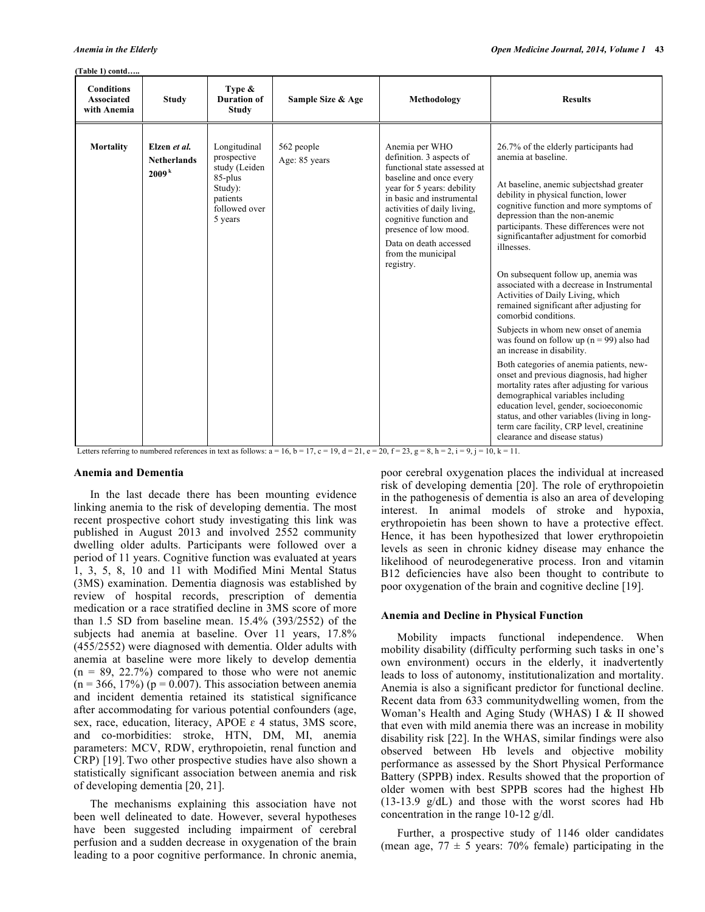# **(Table 1) contd…..**

| <b>Conditions</b><br>Associated<br>with Anemia | <b>Study</b>                                            | Type $\&$<br><b>Duration of</b><br><b>Study</b>                                                            | Sample Size & Age           | Methodology                                                                                                                                                                                                                                                                                                     | <b>Results</b>                                                                                                                                                                                                                                                                                                                                                                                                                                                                                                                                                                                                                                                                                                                                                                                                                                                                                                                                                                                            |
|------------------------------------------------|---------------------------------------------------------|------------------------------------------------------------------------------------------------------------|-----------------------------|-----------------------------------------------------------------------------------------------------------------------------------------------------------------------------------------------------------------------------------------------------------------------------------------------------------------|-----------------------------------------------------------------------------------------------------------------------------------------------------------------------------------------------------------------------------------------------------------------------------------------------------------------------------------------------------------------------------------------------------------------------------------------------------------------------------------------------------------------------------------------------------------------------------------------------------------------------------------------------------------------------------------------------------------------------------------------------------------------------------------------------------------------------------------------------------------------------------------------------------------------------------------------------------------------------------------------------------------|
| <b>Mortality</b>                               | Elzen et al.<br><b>Netherlands</b><br>2009 <sup>k</sup> | Longitudinal<br>prospective<br>study (Leiden<br>85-plus<br>Study):<br>patients<br>followed over<br>5 years | 562 people<br>Age: 85 years | Anemia per WHO<br>definition. 3 aspects of<br>functional state assessed at<br>baseline and once every<br>year for 5 years: debility<br>in basic and instrumental<br>activities of daily living,<br>cognitive function and<br>presence of low mood.<br>Data on death accessed<br>from the municipal<br>registry. | 26.7% of the elderly participants had<br>anemia at baseline<br>At baseline, anemic subjectshad greater<br>debility in physical function, lower<br>cognitive function and more symptoms of<br>depression than the non-anemic<br>participants. These differences were not<br>significantafter adjustment for comorbid<br>illnesses.<br>On subsequent follow up, anemia was<br>associated with a decrease in Instrumental<br>Activities of Daily Living, which<br>remained significant after adjusting for<br>comorbid conditions.<br>Subjects in whom new onset of anemia<br>was found on follow up ( $n = 99$ ) also had<br>an increase in disability.<br>Both categories of anemia patients, new-<br>onset and previous diagnosis, had higher<br>mortality rates after adjusting for various<br>demographical variables including<br>education level, gender, socioeconomic<br>status, and other variables (living in long-<br>term care facility, CRP level, creatinine<br>clearance and disease status) |

Letters referring to numbered references in text as follows:  $a = 16$ ,  $b = 17$ ,  $c = 19$ ,  $d = 21$ ,  $e = 20$ ,  $f = 23$ ,  $g = 8$ ,  $h = 2$ ,  $i = 9$ ,  $j = 10$ ,  $k = 11$ .

#### **Anemia and Dementia**

In the last decade there has been mounting evidence linking anemia to the risk of developing dementia. The most recent prospective cohort study investigating this link was published in August 2013 and involved 2552 community dwelling older adults. Participants were followed over a period of 11 years. Cognitive function was evaluated at years 1, 3, 5, 8, 10 and 11 with Modified Mini Mental Status (3MS) examination. Dementia diagnosis was established by review of hospital records, prescription of dementia medication or a race stratified decline in 3MS score of more than 1.5 SD from baseline mean. 15.4% (393/2552) of the subjects had anemia at baseline. Over 11 years, 17.8% (455/2552) were diagnosed with dementia. Older adults with anemia at baseline were more likely to develop dementia  $(n = 89, 22.7%)$  compared to those who were not anemic  $(n = 366, 17%)$  ( $p = 0.007$ ). This association between anemia and incident dementia retained its statistical significance after accommodating for various potential confounders (age, sex, race, education, literacy, APOE  $\varepsilon$  4 status, 3MS score, and co-morbidities: stroke, HTN, DM, MI, anemia parameters: MCV, RDW, erythropoietin, renal function and CRP) [19]. Two other prospective studies have also shown a statistically significant association between anemia and risk of developing dementia [20, 21].

The mechanisms explaining this association have not been well delineated to date. However, several hypotheses have been suggested including impairment of cerebral perfusion and a sudden decrease in oxygenation of the brain leading to a poor cognitive performance. In chronic anemia,

poor cerebral oxygenation places the individual at increased risk of developing dementia [20]. The role of erythropoietin in the pathogenesis of dementia is also an area of developing interest. In animal models of stroke and hypoxia, erythropoietin has been shown to have a protective effect. Hence, it has been hypothesized that lower erythropoietin levels as seen in chronic kidney disease may enhance the likelihood of neurodegenerative process. Iron and vitamin B12 deficiencies have also been thought to contribute to poor oxygenation of the brain and cognitive decline [19].

#### **Anemia and Decline in Physical Function**

Mobility impacts functional independence. When mobility disability (difficulty performing such tasks in one's own environment) occurs in the elderly, it inadvertently leads to loss of autonomy, institutionalization and mortality. Anemia is also a significant predictor for functional decline. Recent data from 633 communitydwelling women, from the Woman's Health and Aging Study (WHAS) I & II showed that even with mild anemia there was an increase in mobility disability risk [22]. In the WHAS, similar findings were also observed between Hb levels and objective mobility performance as assessed by the Short Physical Performance Battery (SPPB) index. Results showed that the proportion of older women with best SPPB scores had the highest Hb (13-13.9 g/dL) and those with the worst scores had Hb concentration in the range 10-12 g/dl.

Further, a prospective study of 1146 older candidates (mean age,  $77 \pm 5$  years: 70% female) participating in the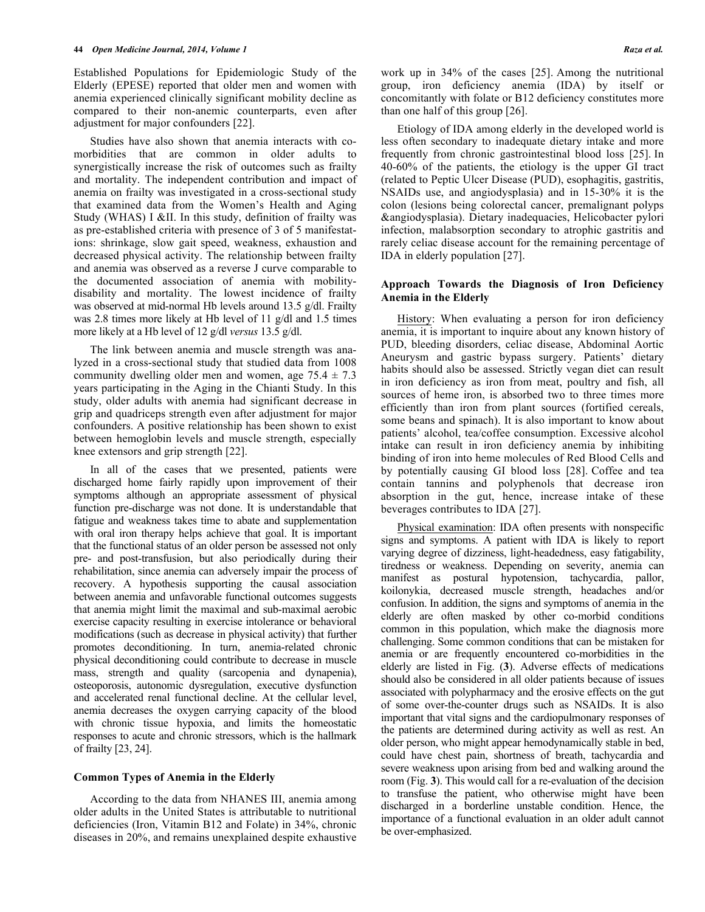Established Populations for Epidemiologic Study of the Elderly (EPESE) reported that older men and women with anemia experienced clinically significant mobility decline as compared to their non-anemic counterparts, even after adjustment for major confounders [22].

Studies have also shown that anemia interacts with comorbidities that are common in older adults to synergistically increase the risk of outcomes such as frailty and mortality. The independent contribution and impact of anemia on frailty was investigated in a cross-sectional study that examined data from the Women's Health and Aging Study (WHAS) I &II. In this study, definition of frailty was as pre-established criteria with presence of 3 of 5 manifestations: shrinkage, slow gait speed, weakness, exhaustion and decreased physical activity. The relationship between frailty and anemia was observed as a reverse J curve comparable to the documented association of anemia with mobilitydisability and mortality. The lowest incidence of frailty was observed at mid-normal Hb levels around 13.5 g/dl. Frailty was 2.8 times more likely at Hb level of 11 g/dl and 1.5 times more likely at a Hb level of 12 g/dl *versus* 13.5 g/dl.

The link between anemia and muscle strength was analyzed in a cross-sectional study that studied data from 1008 community dwelling older men and women, age  $75.4 \pm 7.3$ years participating in the Aging in the Chianti Study. In this study, older adults with anemia had significant decrease in grip and quadriceps strength even after adjustment for major confounders. A positive relationship has been shown to exist between hemoglobin levels and muscle strength, especially knee extensors and grip strength [22].

In all of the cases that we presented, patients were discharged home fairly rapidly upon improvement of their symptoms although an appropriate assessment of physical function pre-discharge was not done. It is understandable that fatigue and weakness takes time to abate and supplementation with oral iron therapy helps achieve that goal. It is important that the functional status of an older person be assessed not only pre- and post-transfusion, but also periodically during their rehabilitation, since anemia can adversely impair the process of recovery. A hypothesis supporting the causal association between anemia and unfavorable functional outcomes suggests that anemia might limit the maximal and sub-maximal aerobic exercise capacity resulting in exercise intolerance or behavioral modifications (such as decrease in physical activity) that further promotes deconditioning. In turn, anemia-related chronic physical deconditioning could contribute to decrease in muscle mass, strength and quality (sarcopenia and dynapenia), osteoporosis, autonomic dysregulation, executive dysfunction and accelerated renal functional decline. At the cellular level, anemia decreases the oxygen carrying capacity of the blood with chronic tissue hypoxia, and limits the homeostatic responses to acute and chronic stressors, which is the hallmark of frailty [23, 24].

## **Common Types of Anemia in the Elderly**

According to the data from NHANES III, anemia among older adults in the United States is attributable to nutritional deficiencies (Iron, Vitamin B12 and Folate) in 34%, chronic diseases in 20%, and remains unexplained despite exhaustive work up in 34% of the cases [25]. Among the nutritional group, iron deficiency anemia (IDA) by itself or concomitantly with folate or B12 deficiency constitutes more than one half of this group [26].

Etiology of IDA among elderly in the developed world is less often secondary to inadequate dietary intake and more frequently from chronic gastrointestinal blood loss [25]. In 40-60% of the patients, the etiology is the upper GI tract (related to Peptic Ulcer Disease (PUD), esophagitis, gastritis, NSAIDs use, and angiodysplasia) and in 15-30% it is the colon (lesions being colorectal cancer, premalignant polyps &angiodysplasia). Dietary inadequacies, Helicobacter pylori infection, malabsorption secondary to atrophic gastritis and rarely celiac disease account for the remaining percentage of IDA in elderly population [27].

### **Approach Towards the Diagnosis of Iron Deficiency Anemia in the Elderly**

History: When evaluating a person for iron deficiency anemia, it is important to inquire about any known history of PUD, bleeding disorders, celiac disease, Abdominal Aortic Aneurysm and gastric bypass surgery. Patients' dietary habits should also be assessed. Strictly vegan diet can result in iron deficiency as iron from meat, poultry and fish, all sources of heme iron, is absorbed two to three times more efficiently than iron from plant sources (fortified cereals, some beans and spinach). It is also important to know about patients' alcohol, tea/coffee consumption. Excessive alcohol intake can result in iron deficiency anemia by inhibiting binding of iron into heme molecules of Red Blood Cells and by potentially causing GI blood loss [28]. Coffee and tea contain tannins and polyphenols that decrease iron absorption in the gut, hence, increase intake of these beverages contributes to IDA [27].

Physical examination: IDA often presents with nonspecific signs and symptoms. A patient with IDA is likely to report varying degree of dizziness, light-headedness, easy fatigability, tiredness or weakness. Depending on severity, anemia can manifest as postural hypotension, tachycardia, pallor, koilonykia, decreased muscle strength, headaches and/or confusion. In addition, the signs and symptoms of anemia in the elderly are often masked by other co-morbid conditions common in this population, which make the diagnosis more challenging. Some common conditions that can be mistaken for anemia or are frequently encountered co-morbidities in the elderly are listed in Fig. (**3**). Adverse effects of medications should also be considered in all older patients because of issues associated with polypharmacy and the erosive effects on the gut of some over-the-counter drugs such as NSAIDs. It is also important that vital signs and the cardiopulmonary responses of the patients are determined during activity as well as rest. An older person, who might appear hemodynamically stable in bed, could have chest pain, shortness of breath, tachycardia and severe weakness upon arising from bed and walking around the room (Fig. **3**). This would call for a re-evaluation of the decision to transfuse the patient, who otherwise might have been discharged in a borderline unstable condition. Hence, the importance of a functional evaluation in an older adult cannot be over-emphasized.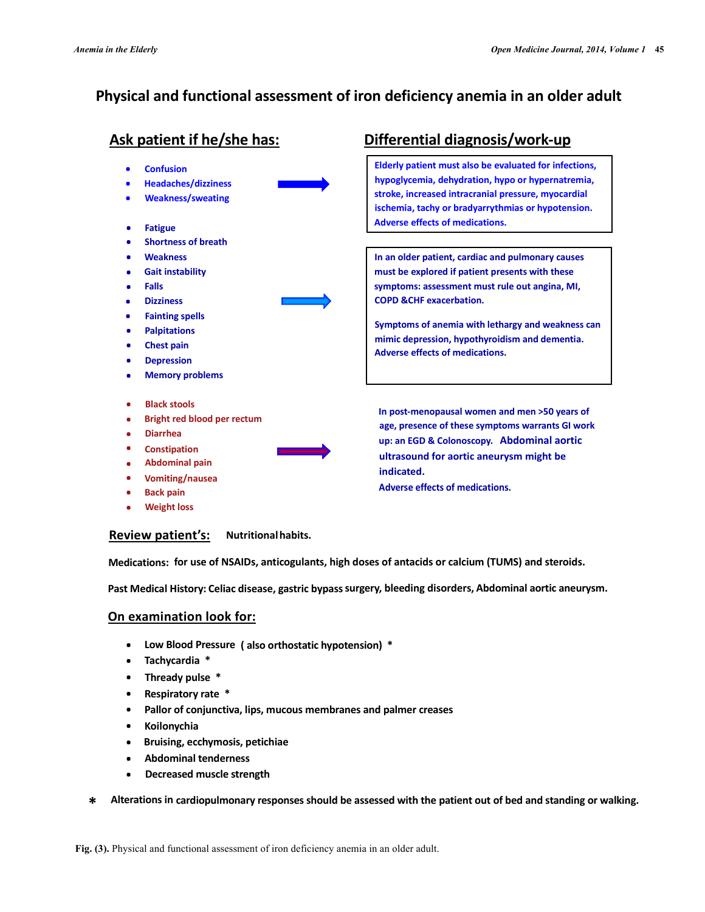# Physical and functional assessment of iron deficiency anemia in an older adult

# Ask patient if he/she has:

- **Confusion** .
- Headaches/dizziness .
- . Weakness/sweating
- . Fatigue
- . Shortness of breath
- . **Weakness**
- . Gait instability
- . Falls
- . **Dizziness**
- . Fainting spells
- . Palpitations
- . Chest pain
- . Depression
- . Memory problems
- . Black stools
- . Bright red blood per rectum
- . Diarrhea
- . **Constipation**
- . Abdominal pain
- . Vomiting/nausea
- . Back pain
- . Weight loss

# Differential diagnosis/work-up

Elderly patient must also be evaluated for infections, hypoglycemia, dehydration, hypo or hypernatremia, stroke, increased intracranial pressure, myocardial ischemia, tachy or bradyarrythmias or hypotension. Adverse effects of medications.

In an older patient, cardiac and pulmonary causes must be explored if patient presents with these symptoms: assessment must rule out angina, MI, COPD &CHF exacerbation.

Symptoms of anemia with lethargy and weakness can mimic depression, hypothyroidism and dementia. Adverse effects of medications.

In post-menopausal women and men >50 years of age, presence of these symptoms warrants GI work up: an EGD & Colonoscopy. Abdominal aortic ultrasound for aortic aneurysm might be indicated.

Adverse effects of medications.

# Review patient's: Nutritionalhabits.

Medications: for use of NSAIDs, anticogulants, high doses of antacids or calcium (TUMS) and steroids.

Past Medical History: Celiac disease, gastric bypass surgery, bleeding disorders, Abdominal aortic aneurysm.

# On examination look for:

- Low Blood Pressure ( also orthostatic hypotension) \* .
- Tachycardia \* .
- Thready pulse \* .
- Respiratory rate \* .
- Pallor of conjunctiva, lips, mucous membranes and palmer creases .
- Koilonychia .
- Bruising, ecchymosis, petichiae .
- Abdominal tenderness .
- Decreased muscle strength .
- \* Alterations in cardiopulmonary responses should be assessed with the patient out of bed and standing or walking.

Fig. (3). Physical and functional assessment of iron deficiency anemia in an older adult.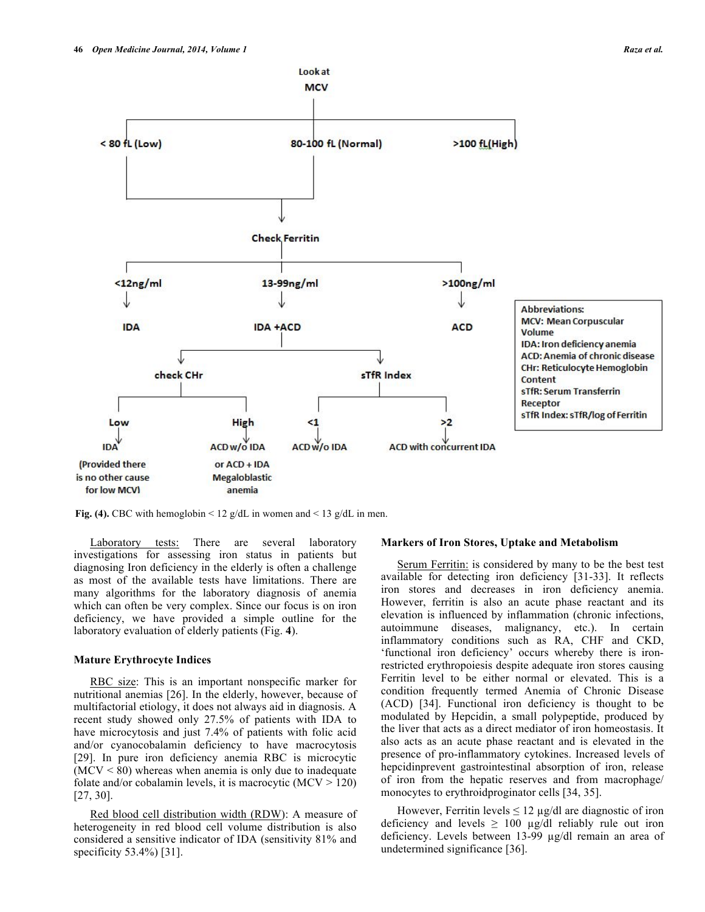

**Fig. (4).** CBC with hemoglobin  $\leq 12$  g/dL in women and  $\leq 13$  g/dL in men.

Laboratory tests: There are several laboratory investigations for assessing iron status in patients but diagnosing Iron deficiency in the elderly is often a challenge as most of the available tests have limitations. There are many algorithms for the laboratory diagnosis of anemia which can often be very complex. Since our focus is on iron deficiency, we have provided a simple outline for the laboratory evaluation of elderly patients (Fig. **4**).

#### **Mature Erythrocyte Indices**

RBC size: This is an important nonspecific marker for nutritional anemias [26]. In the elderly, however, because of multifactorial etiology, it does not always aid in diagnosis. A recent study showed only 27.5% of patients with IDA to have microcytosis and just 7.4% of patients with folic acid and/or cyanocobalamin deficiency to have macrocytosis [29]. In pure iron deficiency anemia RBC is microcytic  $(MCV < 80)$  whereas when anemia is only due to inadequate folate and/or cobalamin levels, it is macrocytic  $(MCV > 120)$ [27, 30].

Red blood cell distribution width (RDW): A measure of heterogeneity in red blood cell volume distribution is also considered a sensitive indicator of IDA (sensitivity 81% and specificity 53.4%) [31].

#### **Markers of Iron Stores, Uptake and Metabolism**

Serum Ferritin: is considered by many to be the best test available for detecting iron deficiency [31-33]. It reflects iron stores and decreases in iron deficiency anemia. However, ferritin is also an acute phase reactant and its elevation is influenced by inflammation (chronic infections, autoimmune diseases, malignancy, etc.). In certain inflammatory conditions such as RA, CHF and CKD, 'functional iron deficiency' occurs whereby there is ironrestricted erythropoiesis despite adequate iron stores causing Ferritin level to be either normal or elevated. This is a condition frequently termed Anemia of Chronic Disease (ACD) [34]. Functional iron deficiency is thought to be modulated by Hepcidin, a small polypeptide, produced by the liver that acts as a direct mediator of iron homeostasis. It also acts as an acute phase reactant and is elevated in the presence of pro-inflammatory cytokines. Increased levels of hepcidinprevent gastrointestinal absorption of iron, release of iron from the hepatic reserves and from macrophage/ monocytes to erythroidproginator cells [34, 35].

However, Ferritin levels  $\leq 12 \mu g/dl$  are diagnostic of iron deficiency and levels  $\geq 100 \mu g/dl$  reliably rule out iron deficiency. Levels between 13-99 µg/dl remain an area of undetermined significance [36].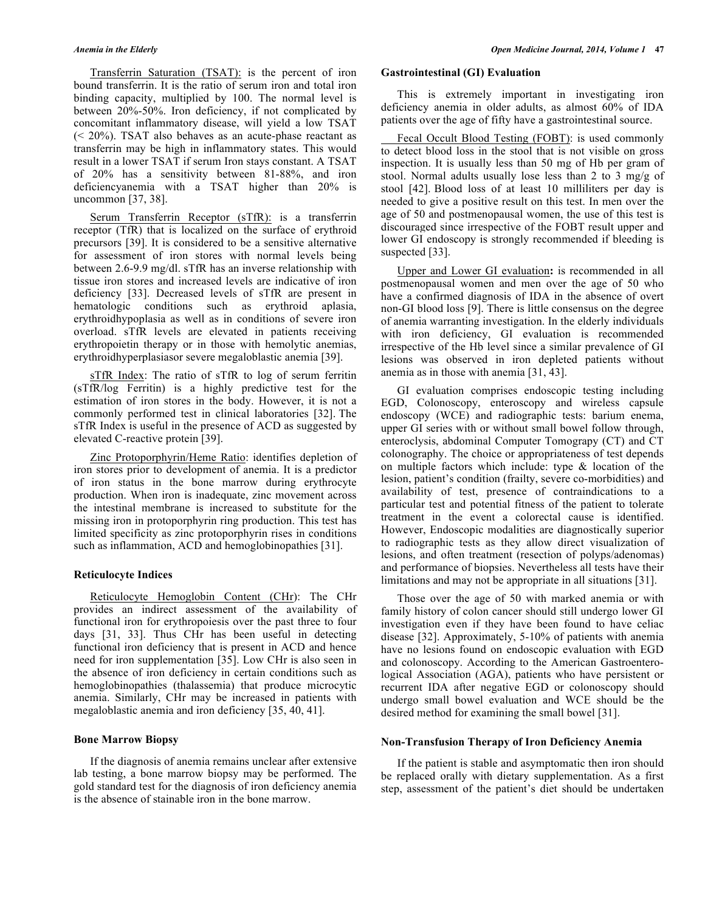Transferrin Saturation (TSAT): is the percent of iron bound transferrin. It is the ratio of serum iron and total iron binding capacity, multiplied by 100. The normal level is between 20%-50%. Iron deficiency, if not complicated by concomitant inflammatory disease, will yield a low TSAT (< 20%). TSAT also behaves as an acute-phase reactant as transferrin may be high in inflammatory states. This would result in a lower TSAT if serum Iron stays constant. A TSAT of 20% has a sensitivity between 81-88%, and iron deficiencyanemia with a TSAT higher than 20% is uncommon [37, 38].

Serum Transferrin Receptor (sTfR): is a transferrin receptor (TfR) that is localized on the surface of erythroid precursors [39]. It is considered to be a sensitive alternative for assessment of iron stores with normal levels being between 2.6-9.9 mg/dl. sTfR has an inverse relationship with tissue iron stores and increased levels are indicative of iron deficiency [33]. Decreased levels of sTfR are present in hematologic conditions such as erythroid aplasia, erythroidhypoplasia as well as in conditions of severe iron overload. sTfR levels are elevated in patients receiving erythropoietin therapy or in those with hemolytic anemias, erythroidhyperplasiasor severe megaloblastic anemia [39].

sTfR Index: The ratio of sTfR to log of serum ferritin (sTfR/log Ferritin) is a highly predictive test for the estimation of iron stores in the body. However, it is not a commonly performed test in clinical laboratories [32]. The sTfR Index is useful in the presence of ACD as suggested by elevated C-reactive protein [39].

Zinc Protoporphyrin/Heme Ratio: identifies depletion of iron stores prior to development of anemia. It is a predictor of iron status in the bone marrow during erythrocyte production. When iron is inadequate, zinc movement across the intestinal membrane is increased to substitute for the missing iron in protoporphyrin ring production. This test has limited specificity as zinc protoporphyrin rises in conditions such as inflammation, ACD and hemoglobinopathies [31].

# **Reticulocyte Indices**

Reticulocyte Hemoglobin Content (CHr): The CHr provides an indirect assessment of the availability of functional iron for erythropoiesis over the past three to four days [31, 33]. Thus CHr has been useful in detecting functional iron deficiency that is present in ACD and hence need for iron supplementation [35]. Low CHr is also seen in the absence of iron deficiency in certain conditions such as hemoglobinopathies (thalassemia) that produce microcytic anemia. Similarly, CHr may be increased in patients with megaloblastic anemia and iron deficiency [35, 40, 41].

### **Bone Marrow Biopsy**

If the diagnosis of anemia remains unclear after extensive lab testing, a bone marrow biopsy may be performed. The gold standard test for the diagnosis of iron deficiency anemia is the absence of stainable iron in the bone marrow.

### **Gastrointestinal (GI) Evaluation**

This is extremely important in investigating iron deficiency anemia in older adults, as almost 60% of IDA patients over the age of fifty have a gastrointestinal source.

Fecal Occult Blood Testing (FOBT): is used commonly to detect blood loss in the stool that is not visible on gross inspection. It is usually less than 50 mg of Hb per gram of stool. Normal adults usually lose less than 2 to 3 mg/g of stool [42]. Blood loss of at least 10 milliliters per day is needed to give a positive result on this test. In men over the age of 50 and postmenopausal women, the use of this test is discouraged since irrespective of the FOBT result upper and lower GI endoscopy is strongly recommended if bleeding is suspected [33].

Upper and Lower GI evaluation**:** is recommended in all postmenopausal women and men over the age of 50 who have a confirmed diagnosis of IDA in the absence of overt non-GI blood loss [9]. There is little consensus on the degree of anemia warranting investigation. In the elderly individuals with iron deficiency, GI evaluation is recommended irrespective of the Hb level since a similar prevalence of GI lesions was observed in iron depleted patients without anemia as in those with anemia [31, 43].

GI evaluation comprises endoscopic testing including EGD, Colonoscopy, enteroscopy and wireless capsule endoscopy (WCE) and radiographic tests: barium enema, upper GI series with or without small bowel follow through, enteroclysis, abdominal Computer Tomograpy (CT) and CT colonography. The choice or appropriateness of test depends on multiple factors which include: type & location of the lesion, patient's condition (frailty, severe co-morbidities) and availability of test, presence of contraindications to a particular test and potential fitness of the patient to tolerate treatment in the event a colorectal cause is identified. However, Endoscopic modalities are diagnostically superior to radiographic tests as they allow direct visualization of lesions, and often treatment (resection of polyps/adenomas) and performance of biopsies. Nevertheless all tests have their limitations and may not be appropriate in all situations [31].

Those over the age of 50 with marked anemia or with family history of colon cancer should still undergo lower GI investigation even if they have been found to have celiac disease [32]. Approximately, 5-10% of patients with anemia have no lesions found on endoscopic evaluation with EGD and colonoscopy. According to the American Gastroenterological Association (AGA), patients who have persistent or recurrent IDA after negative EGD or colonoscopy should undergo small bowel evaluation and WCE should be the desired method for examining the small bowel [31].

### **Non-Transfusion Therapy of Iron Deficiency Anemia**

If the patient is stable and asymptomatic then iron should be replaced orally with dietary supplementation. As a first step, assessment of the patient's diet should be undertaken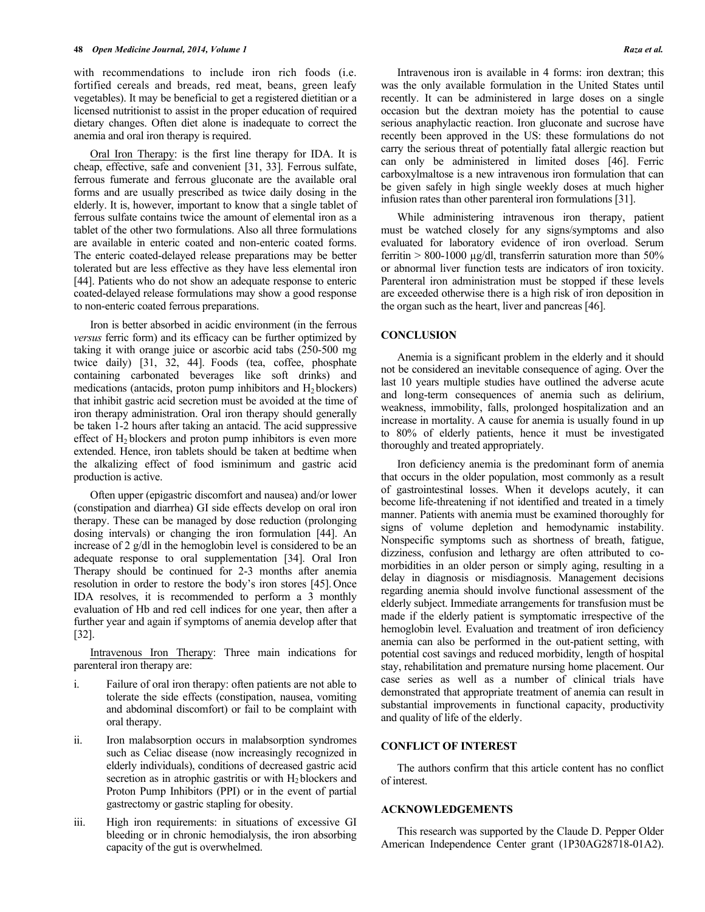with recommendations to include iron rich foods (i.e. fortified cereals and breads, red meat, beans, green leafy vegetables). It may be beneficial to get a registered dietitian or a licensed nutritionist to assist in the proper education of required dietary changes. Often diet alone is inadequate to correct the anemia and oral iron therapy is required.

Oral Iron Therapy: is the first line therapy for IDA. It is cheap, effective, safe and convenient [31, 33]. Ferrous sulfate, ferrous fumerate and ferrous gluconate are the available oral forms and are usually prescribed as twice daily dosing in the elderly. It is, however, important to know that a single tablet of ferrous sulfate contains twice the amount of elemental iron as a tablet of the other two formulations. Also all three formulations are available in enteric coated and non-enteric coated forms. The enteric coated-delayed release preparations may be better tolerated but are less effective as they have less elemental iron [44]. Patients who do not show an adequate response to enteric coated-delayed release formulations may show a good response to non-enteric coated ferrous preparations.

Iron is better absorbed in acidic environment (in the ferrous *versus* ferric form) and its efficacy can be further optimized by taking it with orange juice or ascorbic acid tabs (250-500 mg twice daily) [31, 32, 44]. Foods (tea, coffee, phosphate containing carbonated beverages like soft drinks) and medications (antacids, proton pump inhibitors and  $H_2$  blockers) that inhibit gastric acid secretion must be avoided at the time of iron therapy administration. Oral iron therapy should generally be taken 1-2 hours after taking an antacid. The acid suppressive effect of  $H_2$  blockers and proton pump inhibitors is even more extended. Hence, iron tablets should be taken at bedtime when the alkalizing effect of food isminimum and gastric acid production is active.

Often upper (epigastric discomfort and nausea) and/or lower (constipation and diarrhea) GI side effects develop on oral iron therapy. These can be managed by dose reduction (prolonging dosing intervals) or changing the iron formulation [44]. An increase of 2 g/dl in the hemoglobin level is considered to be an adequate response to oral supplementation [34]. Oral Iron Therapy should be continued for 2-3 months after anemia resolution in order to restore the body's iron stores [45]. Once IDA resolves, it is recommended to perform a 3 monthly evaluation of Hb and red cell indices for one year, then after a further year and again if symptoms of anemia develop after that [32].

Intravenous Iron Therapy: Three main indications for parenteral iron therapy are:

- i. Failure of oral iron therapy: often patients are not able to tolerate the side effects (constipation, nausea, vomiting and abdominal discomfort) or fail to be complaint with oral therapy.
- ii. Iron malabsorption occurs in malabsorption syndromes such as Celiac disease (now increasingly recognized in elderly individuals), conditions of decreased gastric acid secretion as in atrophic gastritis or with  $H_2$  blockers and Proton Pump Inhibitors (PPI) or in the event of partial gastrectomy or gastric stapling for obesity.
- iii. High iron requirements: in situations of excessive GI bleeding or in chronic hemodialysis, the iron absorbing capacity of the gut is overwhelmed.

Intravenous iron is available in 4 forms: iron dextran; this was the only available formulation in the United States until recently. It can be administered in large doses on a single occasion but the dextran moiety has the potential to cause serious anaphylactic reaction. Iron gluconate and sucrose have recently been approved in the US: these formulations do not carry the serious threat of potentially fatal allergic reaction but can only be administered in limited doses [46]. Ferric carboxylmaltose is a new intravenous iron formulation that can be given safely in high single weekly doses at much higher infusion rates than other parenteral iron formulations [31].

While administering intravenous iron therapy, patient must be watched closely for any signs/symptoms and also evaluated for laboratory evidence of iron overload. Serum ferritin  $> 800-1000$  µg/dl, transferrin saturation more than 50% or abnormal liver function tests are indicators of iron toxicity. Parenteral iron administration must be stopped if these levels are exceeded otherwise there is a high risk of iron deposition in the organ such as the heart, liver and pancreas [46].

# **CONCLUSION**

Anemia is a significant problem in the elderly and it should not be considered an inevitable consequence of aging. Over the last 10 years multiple studies have outlined the adverse acute and long-term consequences of anemia such as delirium, weakness, immobility, falls, prolonged hospitalization and an increase in mortality. A cause for anemia is usually found in up to 80% of elderly patients, hence it must be investigated thoroughly and treated appropriately.

Iron deficiency anemia is the predominant form of anemia that occurs in the older population, most commonly as a result of gastrointestinal losses. When it develops acutely, it can become life-threatening if not identified and treated in a timely manner. Patients with anemia must be examined thoroughly for signs of volume depletion and hemodynamic instability. Nonspecific symptoms such as shortness of breath, fatigue, dizziness, confusion and lethargy are often attributed to comorbidities in an older person or simply aging, resulting in a delay in diagnosis or misdiagnosis. Management decisions regarding anemia should involve functional assessment of the elderly subject. Immediate arrangements for transfusion must be made if the elderly patient is symptomatic irrespective of the hemoglobin level. Evaluation and treatment of iron deficiency anemia can also be performed in the out-patient setting, with potential cost savings and reduced morbidity, length of hospital stay, rehabilitation and premature nursing home placement. Our case series as well as a number of clinical trials have demonstrated that appropriate treatment of anemia can result in substantial improvements in functional capacity, productivity and quality of life of the elderly.

#### **CONFLICT OF INTEREST**

The authors confirm that this article content has no conflict of interest.

#### **ACKNOWLEDGEMENTS**

This research was supported by the Claude D. Pepper Older American Independence Center grant (1P30AG28718-01A2).